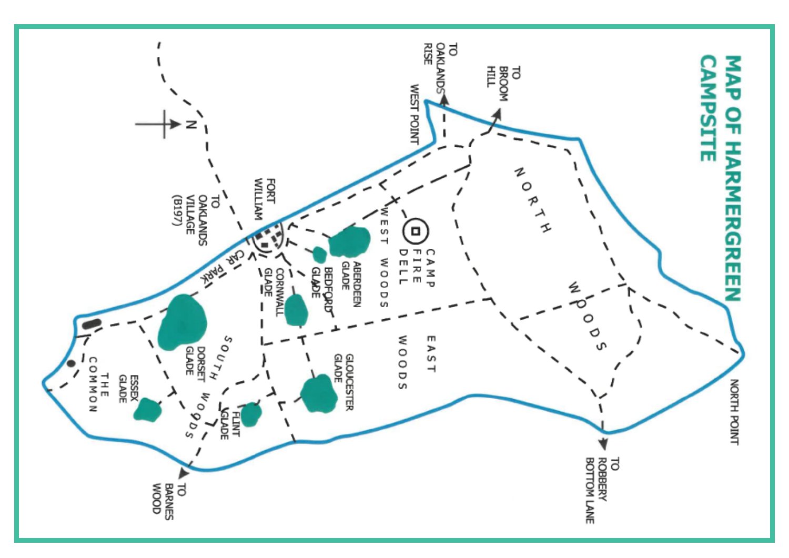